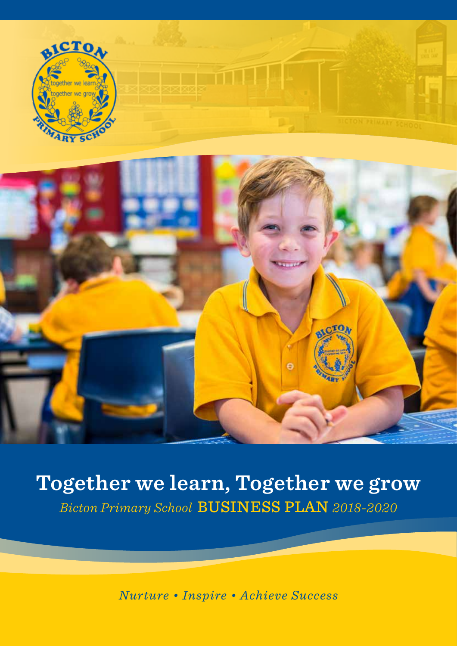



## **Together we learn, Together we grow** *Bicton Primary School* BUSINESS PLAN *2018-2020*

*Nurture • Inspire • Achieve Success*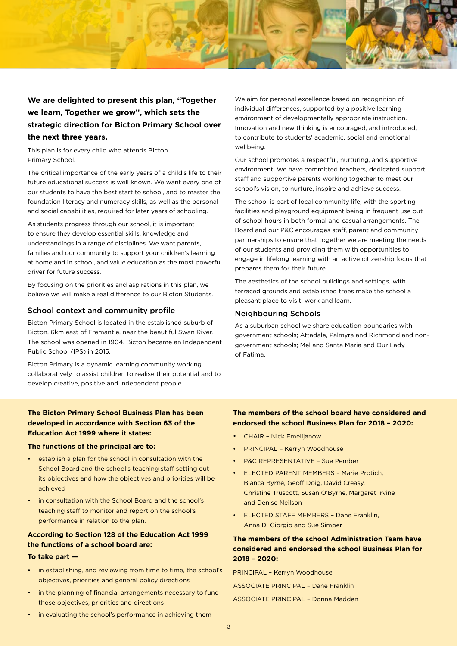

#### **We are delighted to present this plan, "Together we learn, Together we grow", which sets the strategic direction for Bicton Primary School over the next three years.**

This plan is for every child who attends Bicton Primary School.

The critical importance of the early years of a child's life to their future educational success is well known. We want every one of our students to have the best start to school, and to master the foundation literacy and numeracy skills, as well as the personal and social capabilities, required for later years of schooling.

As students progress through our school, it is important to ensure they develop essential skills, knowledge and understandings in a range of disciplines. We want parents, families and our community to support your children's learning at home and in school, and value education as the most powerful driver for future success.

By focusing on the priorities and aspirations in this plan, we believe we will make a real difference to our Bicton Students.

#### School context and community profile

Bicton Primary School is located in the established suburb of Bicton, 6km east of Fremantle, near the beautiful Swan River. The school was opened in 1904. Bicton became an Independent Public School (IPS) in 2015.

Bicton Primary is a dynamic learning community working collaboratively to assist children to realise their potential and to develop creative, positive and independent people.

We aim for personal excellence based on recognition of individual differences, supported by a positive learning environment of developmentally appropriate instruction. Innovation and new thinking is encouraged, and introduced, to contribute to students' academic, social and emotional wellbeing.

Our school promotes a respectful, nurturing, and supportive environment. We have committed teachers, dedicated support staff and supportive parents working together to meet our school's vision, to nurture, inspire and achieve success.

The school is part of local community life, with the sporting facilities and playground equipment being in frequent use out of school hours in both formal and casual arrangements. The Board and our P&C encourages staff, parent and community partnerships to ensure that together we are meeting the needs of our students and providing them with opportunities to engage in lifelong learning with an active citizenship focus that prepares them for their future.

The aesthetics of the school buildings and settings, with terraced grounds and established trees make the school a pleasant place to visit, work and learn.

#### Neighbouring Schools

As a suburban school we share education boundaries with government schools; Attadale, Palmyra and Richmond and nongovernment schools; Mel and Santa Maria and Our Lady of Fatima.

#### **The Bicton Primary School Business Plan has been developed in accordance with Section 63 of the Education Act 1999 where it states:**

#### **The functions of the principal are to:**

- establish a plan for the school in consultation with the School Board and the school's teaching staff setting out its objectives and how the objectives and priorities will be achieved
- in consultation with the School Board and the school's teaching staff to monitor and report on the school's performance in relation to the plan.

#### **According to Section 128 of the Education Act 1999 the functions of a school board are:**

#### **To take part —**

- in establishing, and reviewing from time to time, the school's objectives, priorities and general policy directions
- in the planning of financial arrangements necessary to fund those objectives, priorities and directions
- **The members of the school board have considered and endorsed the school Business Plan for 2018 – 2020:**
- CHAIR Nick Emelijanow
- PRINCIPAL Kerryn Woodhouse
- P&C REPRESENTATIVE Sue Pember
- ELECTED PARENT MEMBERS Marie Protich, Bianca Byrne, Geoff Doig, David Creasy, Christine Truscott, Susan O'Byrne, Margaret Irvine and Denise Neilson
- **ELECTED STAFF MEMBERS Dane Franklin.** Anna Di Giorgio and Sue Simper

#### **The members of the school Administration Team have considered and endorsed the school Business Plan for 2018 – 2020:**

PRINCIPAL – Kerryn Woodhouse

ASSOCIATE PRINCIPAL – Dane Franklin

ASSOCIATE PRINCIPAL – Donna Madden

• in evaluating the school's performance in achieving them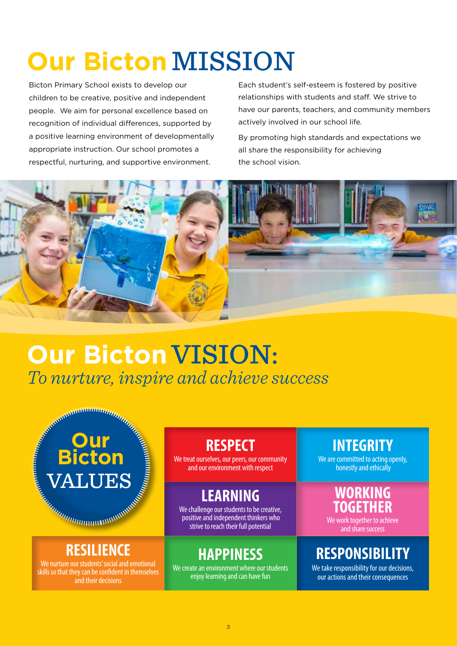# **Our Bicton MISSION**

Bicton Primary School exists to develop our children to be creative, positive and independent people. We aim for personal excellence based on recognition of individual differences, supported by a positive learning environment of developmentally appropriate instruction. Our school promotes a respectful, nurturing, and supportive environment.

Each student's self-esteem is fostered by positive relationships with students and staff. We strive to have our parents, teachers, and community members actively involved in our school life.

By promoting high standards and expectations we all share the responsibility for achieving the school vision.



## *To nurture, inspire and achieve success*  **Our Bicton VISION:**

### **RESPECT**

We treat ourselves, our peers, our community and our environment with respect

### **LEARNING**

We challenge our students to be creative, positive and independent thinkers who strive to reach their full potential

### **HAPPINESS**

We create an environment where our students enjoy learning and can have fun

### **INTEGRITY**

We are committed to acting openly. honestly and ethically

### WORKING **TOGETHER**

We work together to achieve and share success

### **RESPONSIBILITY**

We take responsibility for our decisions, our actions and their consequences

### **RESILIENCE**

**Our** 

**Bicton**

VALUES

We nurture our students' social and emotional skills so that they can be confident in themselves and their decisions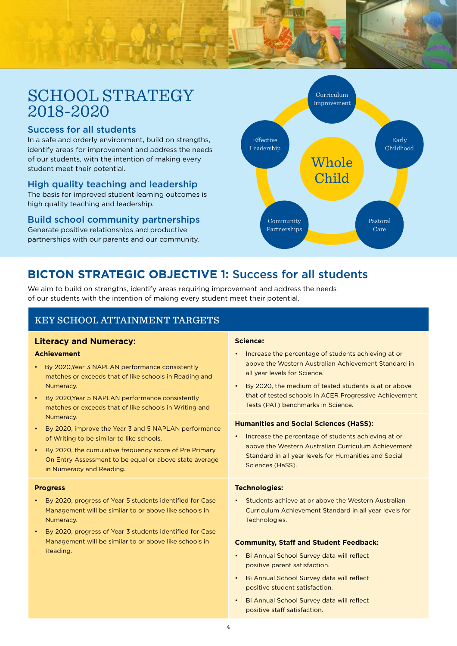### SCHOOL STRATEGY 2018-2020

#### Success for all students

In a safe and orderly environment, build on strengths, identify areas for improvement and address the needs of our students, with the intention of making every student meet their potential.

#### High quality teaching and leadership

The basis for improved student learning outcomes is high quality teaching and leadership.

#### Build school community partnerships

Generate positive relationships and productive partnerships with our parents and our community.



### **BICTON STRATEGIC OBJECTIVE 1:** Success for all students

We aim to build on strengths, identify areas requiring improvement and address the needs of our students with the intention of making every student meet their potential.

#### KEY SCHOOL ATTAINMENT TARGETS

#### **Literacy and Numeracy:**

#### **Achievement**

- By 2020,Year 3 NAPLAN performance consistently matches or exceeds that of like schools in Reading and Numeracy.
- By 2020,Year 5 NAPLAN performance consistently matches or exceeds that of like schools in Writing and Numeracy.
- By 2020, improve the Year 3 and 5 NAPLAN performance of Writing to be similar to like schools.
- By 2020, the cumulative frequency score of Pre Primary On Entry Assessment to be equal or above state average in Numeracy and Reading.

#### **Progress**

- By 2020, progress of Year 5 students identified for Case Management will be similar to or above like schools in Numeracy.
- By 2020, progress of Year 3 students identified for Case Management will be similar to or above like schools in Reading.

#### **Science:**

- Increase the percentage of students achieving at or above the Western Australian Achievement Standard in all year levels for Science.
- By 2020, the medium of tested students is at or above that of tested schools in ACER Progressive Achievement Tests (PAT) benchmarks in Science.

#### **Humanities and Social Sciences (HaSS):**

• Increase the percentage of students achieving at or above the Western Australian Curriculum Achievement Standard in all year levels for Humanities and Social Sciences (HaSS).

#### **Technologies:**

• Students achieve at or above the Western Australian Curriculum Achievement Standard in all year levels for Technologies.

#### **Community, Staff and Student Feedback:**

- Bi Annual School Survey data will reflect positive parent satisfaction.
- Bi Annual School Survey data will reflect positive student satisfaction.
- Bi Annual School Survey data will reflect positive staff satisfaction.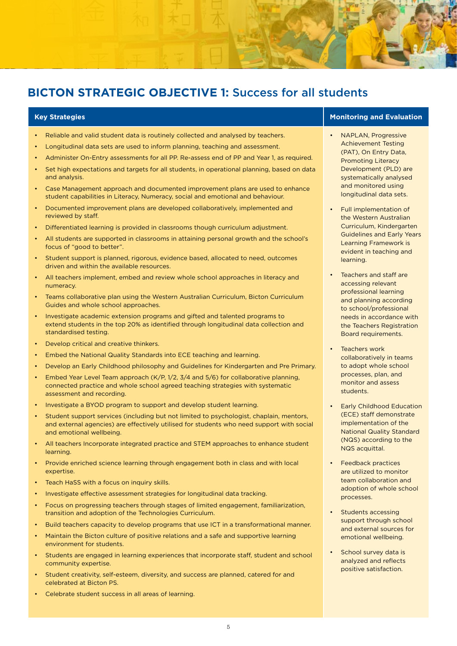### **BICTON STRATEGIC OBJECTIVE 1:** Success for all students

- Reliable and valid student data is routinely collected and analysed by teachers.
- Longitudinal data sets are used to inform planning, teaching and assessment.
- Administer On-Entry assessments for all PP. Re-assess end of PP and Year 1, as required.
- Set high expectations and targets for all students, in operational planning, based on data and analysis.
- Case Management approach and documented improvement plans are used to enhance student capabilities in Literacy, Numeracy, social and emotional and behaviour.
- Documented improvement plans are developed collaboratively, implemented and reviewed by staff.
- Differentiated learning is provided in classrooms though curriculum adjustment.
- All students are supported in classrooms in attaining personal growth and the school's focus of "good to better".
- Student support is planned, rigorous, evidence based, allocated to need, outcomes driven and within the available resources.
- All teachers implement, embed and review whole school approaches in literacy and numeracy.
- Teams collaborative plan using the Western Australian Curriculum, Bicton Curriculum Guides and whole school approaches.
- Investigate academic extension programs and gifted and talented programs to extend students in the top 20% as identified through longitudinal data collection and standardised testing.
- Develop critical and creative thinkers.
- Embed the National Quality Standards into ECE teaching and learning.
- Develop an Early Childhood philosophy and Guidelines for Kindergarten and Pre Primary.
- Embed Year Level Team approach (K/P, 1/2, 3/4 and 5/6) for collaborative planning, connected practice and whole school agreed teaching strategies with systematic assessment and recording.
- Investigate a BYOD program to support and develop student learning.
- Student support services (including but not limited to psychologist, chaplain, mentors, and external agencies) are effectively utilised for students who need support with social and emotional wellbeing.
- All teachers Incorporate integrated practice and STEM approaches to enhance student learning.
- Provide enriched science learning through engagement both in class and with local expertise.
- Teach HaSS with a focus on inquiry skills.
- Investigate effective assessment strategies for longitudinal data tracking.
- Focus on progressing teachers through stages of limited engagement, familiarization, transition and adoption of the Technologies Curriculum.
- Build teachers capacity to develop programs that use ICT in a transformational manner.
- Maintain the Bicton culture of positive relations and a safe and supportive learning environment for students.
- Students are engaged in learning experiences that incorporate staff, student and school community expertise.
- Student creativity, self-esteem, diversity, and success are planned, catered for and celebrated at Bicton PS.
- Celebrate student success in all areas of learning.

#### **Key Strategies Monitoring and Evaluation**

- NAPLAN, Progressive Achievement Testing (PAT), On Entry Data, Promoting Literacy Development (PLD) are systematically analysed and monitored using longitudinal data sets.
- Full implementation of the Western Australian Curriculum, Kindergarten Guidelines and Early Years Learning Framework is evident in teaching and learning.
- Teachers and staff are accessing relevant professional learning and planning according to school/professional needs in accordance with the Teachers Registration Board requirements.
- Teachers work collaboratively in teams to adopt whole school processes, plan, and monitor and assess students.
- **Early Childhood Education** (ECE) staff demonstrate implementation of the National Quality Standard (NQS) according to the NQS acquittal.
- Feedback practices are utilized to monitor team collaboration and adoption of whole school processes.
- Students accessing support through school and external sources for emotional wellbeing.
- School survey data is analyzed and reflects positive satisfaction.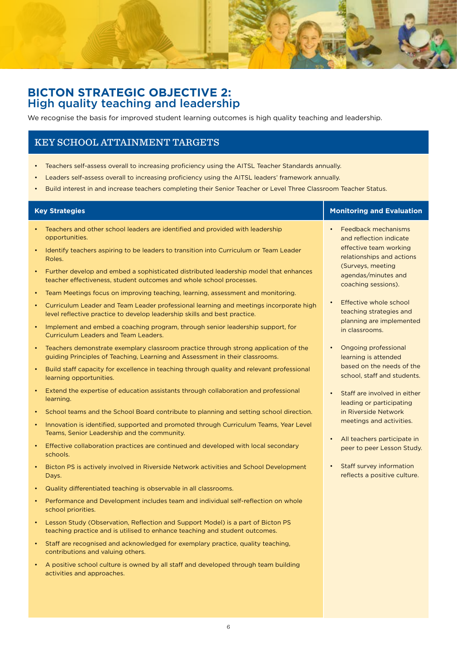

#### **BICTON STRATEGIC OBJECTIVE 2:** High quality teaching and leadership

We recognise the basis for improved student learning outcomes is high quality teaching and leadership.

#### KEY SCHOOL ATTAINMENT TARGETS

- Teachers self-assess overall to increasing proficiency using the AITSL Teacher Standards annually.
- Leaders self-assess overall to increasing proficiency using the AITSL leaders' framework annually.
- Build interest in and increase teachers completing their Senior Teacher or Level Three Classroom Teacher Status.

| <b>Key Strategies</b>                                                                                                                                                            | <b>Monitoring and Evaluation</b>                                       |
|----------------------------------------------------------------------------------------------------------------------------------------------------------------------------------|------------------------------------------------------------------------|
| Teachers and other school leaders are identified and provided with leadership<br>opportunities.                                                                                  | Feedback mechanisms<br>and reflection indicate                         |
| Identify teachers aspiring to be leaders to transition into Curriculum or Team Leader<br>Roles.                                                                                  | effective team working<br>relationships and actions                    |
| Further develop and embed a sophisticated distributed leadership model that enhances<br>$\bullet$<br>teacher effectiveness, student outcomes and whole school processes.         | (Surveys, meeting<br>agendas/minutes and<br>coaching sessions).        |
| Team Meetings focus on improving teaching, learning, assessment and monitoring.<br>$\bullet$                                                                                     |                                                                        |
| Curriculum Leader and Team Leader professional learning and meetings incorporate high<br>$\bullet$<br>level reflective practice to develop leadership skills and best practice.  | Effective whole school<br>teaching strategies and                      |
| Implement and embed a coaching program, through senior leadership support, for<br>$\bullet$<br><b>Curriculum Leaders and Team Leaders.</b>                                       | planning are implemented<br>in classrooms.                             |
| Teachers demonstrate exemplary classroom practice through strong application of the<br>$\bullet$<br>guiding Principles of Teaching, Learning and Assessment in their classrooms. | Ongoing professional<br>$\bullet$<br>learning is attended              |
| Build staff capacity for excellence in teaching through quality and relevant professional<br>learning opportunities.                                                             | based on the needs of the<br>school, staff and students.               |
| Extend the expertise of education assistants through collaboration and professional<br>learning.                                                                                 | Staff are involved in either<br>$\bullet$<br>leading or participating  |
| School teams and the School Board contribute to planning and setting school direction.                                                                                           | in Riverside Network                                                   |
| Innovation is identified, supported and promoted through Curriculum Teams, Year Level<br>$\bullet$<br>Teams, Senior Leadership and the community.                                | meetings and activities.                                               |
| Effective collaboration practices are continued and developed with local secondary<br>schools.                                                                                   | All teachers participate in<br>$\bullet$<br>peer to peer Lesson Study. |
| Bicton PS is actively involved in Riverside Network activities and School Development<br>$\bullet$<br>Days.                                                                      | Staff survey information<br>$\bullet$<br>reflects a positive culture.  |
| Quality differentiated teaching is observable in all classrooms.<br>$\bullet$                                                                                                    |                                                                        |
| Performance and Development includes team and individual self-reflection on whole<br>$\bullet$<br>school priorities.                                                             |                                                                        |
| Lesson Study (Observation, Reflection and Support Model) is a part of Bicton PS<br>$\bullet$<br>teaching practice and is utilised to enhance teaching and student outcomes.      |                                                                        |
| Staff are recognised and acknowledged for exemplary practice, quality teaching,<br>$\bullet$<br>contributions and valuing others.                                                |                                                                        |
| A positive school culture is owned by all staff and developed through team building<br>activities and approaches.                                                                |                                                                        |